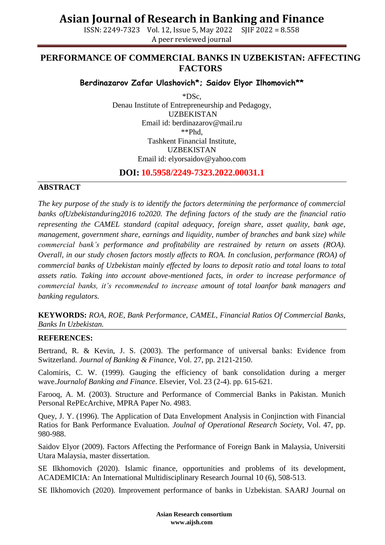## **Asian Journal of Research in Banking and Finance**

ISSN: 2249-7323 Vol. 12, Issue 5, May 2022 SJIF 2022 = 8.558 A peer reviewed journal

### **PERFORMANCE OF COMMERCIAL BANKS IN UZBEKISTAN: AFFECTING FACTORS**

#### **Berdinazarov Zafar Ulashovich\*; Saidov Elyor Ilhomovich\*\***

\*DSc, Denau Institute of Entrepreneurship and Pedagogy, UZBEKISTAN Email id: berdinazarov@mail.ru \*\*Phd, Tashkent Financial Institute, UZBEKISTAN Email id: [elyorsaidov@yahoo.com](mailto:elyorsaidov@yahoo.com)

**DOI: 10.5958/2249-7323.2022.00031.1**

#### **ABSTRACT**

*The key purpose of the study is to identify the factors determining the performance of commercial banks ofUzbekistanduring2016 to2020. The defining factors of the study are the financial ratio representing the CAMEL standard (capital adequacy, foreign share, asset quality, bank age, management, government share, earnings and liquidity, number of branches and bank size) while commercial bank's performance and profitability are restrained by return on assets (ROA). Overall, in our study chosen factors mostly affects to ROA. In conclusion, performance (ROA) of commercial banks of Uzbekistan mainly effected by loans to deposit ratio and total loans to total assets ratio. Taking into account above-mentioned facts, in order to increase performance of commercial banks, it's recommended to increase amount of total loanfor bank managers and banking regulators.*

**KEYWORDS:** *ROA, ROE, Bank Performance, CAMEL, Financial Ratios Of Commercial Banks, Banks In Uzbekistan.*

#### **REFERENCES:**

Bertrand, R. & Kevin, J. S. (2003). The performance of universal banks: Evidence from Switzerland. *Journal of Banking & Finance,* Vol. 27, pp. 2121-2150.

Calomiris, C. W. (1999). Gauging the efficiency of bank consolidation during a merger wave.*Journalof Banking and Finance*. Elsevier, Vol. 23 (2-4). pp. 615-621.

Farooq, A. M. (2003). Structure and Performance of Commercial Banks in Pakistan. Munich Personal RePEcArchive, MPRA Paper No. 4983.

Quey, J. Y. (1996). The Application of Data Envelopment Analysis in Conjinction with Financial Ratios for Bank Performance Evaluation. *Joulnal of Operational Research Society*, Vol. 47, pp. 980-988.

Saidov Elyor (2009). Factors Affecting the Performance of Foreign Bank in Malaysia, Universiti Utara Malaysia, master dissertation.

SE Ilkhomovich (2020). Islamic finance, opportunities and problems of its development, ACADEMICIA: An International Multidisciplinary Research Journal 10 (6), 508-513.

SE Ilkhomovich (2020). Improvement performance of banks in Uzbekistan. SAARJ Journal on